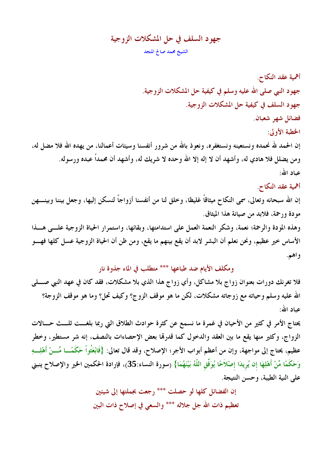# جهود السلف في حل المشكلات الزوجية الشيخ محمد صالح المنجد

أهمية عقد النكاح. جهود النبي صلى الله عليه وسلم في كيفية حل المشكلات الزوجية. جهود السلف في كيفية حل المشكلات الزوجية. فضائل شهر شعبان. الخطبة الأولى: إن الحمد لله نحمده ونستعينه ونستغفره، ونعوذ بالله من شرور أنفسنا وسيئات أعمالنا، من يهده الله فلا مضل له، ومن يضلل فلا هادي له، وأشهد أن لا إله إلا الله وحده لا شريك له، وأشهد أن محمداً عبده ورسوله. عباد الله:

## أهمية عقد النكاح.

إن الله سبحانه وتعالى، سمَّى النكاح ميثاقاً غليظا، وخلق لنا من أنفسنا أزواجاً لنسكن إليها، وجعل بيننا وبينــــهن مودة ورحمة، فلابد من صيانة هذا الميثاق. وهذه المودة والرحمة؛ نعمة، وشكر النعمة العمل على استدامتها، وبقائها، واستمرار الحياة الزوجية علـــى هـــذا الأساس خير عظيم، ونحن نعلم أن البشر لابد أن يقع بينهم ما يقع، ومن ظن أن الحياة الزوجية عسل كلها فهـــو واهم.

ومكلف الأيام ضد طباعها \*\*\* متطلب في الماء جذوة نار

فلا تغرنك دورات بعنوان زواج بلا مشاكل، وأي زواج هذا الذي بلا مشكلات، فقد كان في عهد النبي صــــلي الله عليه وسلم وحياته مع زوجاته مشكلات، لكن ما هو موقف الزوج؟ وكيف تحل؟ وما هو موقف الزوجة؟ عياد الله:

يحتاج الأمر في كثير من الأحيان في غمرة ما نسمع عن كثرة حوادث الطلاق التي ربما بلغـــت ثلـــث حـــالات الزواج، وكثير منها يقع ما بين العقد والدخول كما قدرها بعض الإحصاءات بالنصف، إنه شر مستطير، وخطر عظيم، يحتاج إلى مواجهة، وإن من أعظم أبواب الأجر؛ الإصلاح، وقد قال تعالى: {فَابْعَثُواْ حَكَمَــا مِّـــنْ أَهْلِـــهِ وَحَكَمًا مِّنْ أَهْلِهَا إن يُرِيدَا إصْلاَحًا يُوَفِّقِ اللَّهُ بَيْنَهُمَا} (سورة النساء:35)، فإرادة الحكمين الخير والإصلاح ينبنى على النية الطيبة، وحسن النتيجة.

> إن الفضائل كلها لو حصلت \*\*\* رجعت بجملتها إلى شيئين تعظيم ذات الله جل جلاله \*\*\* والسعى في إصلاح ذات البين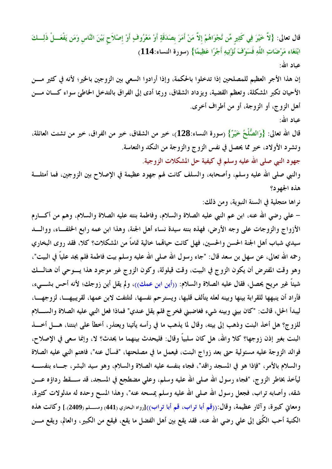قال تعالى: {لاَّ خَيْرَ فِي كَثِيرٍ مِّن نَّجْوَاهُمْ إلاَّ مَنْ أَمَرَ بصَدَقَةٍ أَوْ مَعْرُوفٍ أَوْ إصْلاَح بَيْنَ النَّاس وَمَن يَفْعَـــلْ ذَلِـــكَ ابْتَغَاء مَرْضَاتِ اللَّهِ فَسَوْفَ نُؤْتِيهِ أَجْرًا عَظِيمًا} (سورة النساء:114) عياد الله: إن هذا الأجر العظيم للمصلحين إذا تدخلوا بالحكمة، وإذا أرادوا السعى بين الزوجين بالخير؛ لأنه في كثير مـــن الأحيان تكبر المشكلة، وتعظم القضية، ويزداد الشقاق، وربما أدى إلى الفراق بالتدخل الخاطئ سواء كــان مـــن أهل الزوج، أو الزوجة، أو من أطراف أخرى. عياد الله: قال الله تعالى: {وَالصُّلْحُ خَيْرٌ} (سورة النساء:128)، خير من الشقاق، خير من الفراق، خير من تشتت العائلة، وتشرد الأولاد، خير مما يحصل في نفس الزوج والزوجة من النكد والتعاسة. جهود النبي صلى الله عليه وسلم في كيفية حل المشكلات الزوجية. والنبي صلى الله عليه وسلم، وأصحابه، والسلف كانت لهم جهود عظيمة في الإصلاح بين الزوجين، فما أمثلـــة

هذه الجهود؟

نراها متجلية في السنة النبوية، ومن ذلك:

– على رضي الله عنه، ابن عم النبي عليه الصلاة والسلام، وفاطمة بنته عليه الصلاة والسلام، وهم من أكــــارم الأزواج والزوجات على وجه الأرض، فهذه بنته سيدة نساء أهل الجنة، وهذا ابن عمه رابع الخلف!ء، ووالبد سيدي شباب أهل الجنة الحسن والحسين، فهل كانت حيالهما خالية تماماً من المشكلات؟ كلا، فقد روى البخاري رحمه الله تعالى، عن سهل بن سعد قال: "جاء رسول الله صلى الله عليه وسلم بيت فاطمة فلم يجد علياً في البيت"، وهو وقت المفترض أن يكون الزوج في البيت، وقت قيلولة، وكون الزوج غير موجود هذا يسوحي أن هنالسك شيئاً غير مريح يحصل، فقال عليه الصلاة والسلام: ((أين ابن عمك))، ولم يقل أين زوجك؛ لأنه أحس بشــــىء، فأراد أن ينبهها للقرابة بينها وبينه لعله يتألف قلبها، ويسترحم نفسها، لتلتفت لابن عمها، لقريبيهــا، لزوجهــا، ليبدأ الحل، قالت: "كان بيني وبينه شيء فغاضبني فخرج فلم يقل عندي" فماذا فعل النبي عليه الصلاة والسللام للزوج؟ هل أخذ البنت وذهب إلى بيته، وقال لما يذهب ما في رأسه يأتينا ويعتذر، أخطأ على ابنتنا، هــــل أخــــذ البنت بغير إذن زوجها؟ كلا والله، هل كان سلبياً وقال: فليحدث بينهما ما يحدث؟ لا، وإنما سعى في الإصلاح، فوالد الزوجة عليه مسئولية حتى بعد زواج البنت، فيعمل ما في مصلحتها، "فسأل عنه"، فاهتم النبي عليه الصلاة والسلام بالأمر، "فإذا هو في المسجد راقد"، فجاء بنفسه عليه الصلاة والسلام، وهو سيد البشر، جــاء بنفســـه ليأخذ بخاطر الزوج، "فجاء رسول الله صلى الله عليه وسلم، وعلى مضطجع في المسجد، قد ســـقط رداؤه عــــن شقه، وأصابه تراب، فجعل رسول الله صلى الله عليه وسلم يمسحه عنه"، وهذا المسح وحده له مدلولات كثيرة، ومعاني كبيرة، وآثار عظيمة، وقال:((قم أبا تراب، قم أبا تراب))[رواه البخاري (441) ومســلم(2409).] وكانت هذه الكنية أحب الكُنى إلى علي رضي الله عنه، فقد يقع بين أهل الفضل ما يقع، فيقع من الكبير، والعالم، ويقع مــــن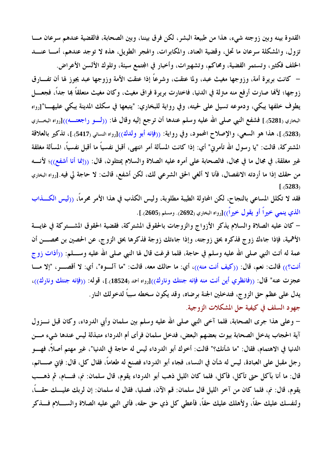القدوة بينه وبين زوجته شيء، هذا من طبيعة البشر، لكن فرق بيننا، وبين الصحابة، فالقضية عندهم سرعان مـــا تزول، والمشكلة سرعان ما تحل، وقضية العناد، والمكابرات، والهجر الطويل، هذه لا توجد عندهم، أمـــا عنـــد الخلف فكثير، وتستمر القضية، ومحاكم، وتشهيرات، وأخبار في المجتمع سيئة، وتلوك الألسن الأعراض.

– كانت بريرة أمة، وزوجها مغيث عبد، ولما عتقت، وشرعًا إذا عتقت الأمة وزوجها عبد يجوز لها أن تفـــارق زوجها؛ لألها صارت أرفع منه مترلة في الدنيا، فاختارت بريرة فراق مغيث، وكان مغيث متعلقاً بما جداً، فجعـــل يطوف خلفها يبكي، ودموعه تسيل على لحيته، وفي رواية للبخاري: "يتبعها في سكك المدينة يبكي عليهـــا"[رواه البخاري (5281).] فشفع النبي صلى الله عليه وسلم عندها أن ترجع إليه وقال لها: ((لـــو راجعتـــه))[رواه البخـــاري (5283).]، هذا هو السعي، والإصلاح المحمود، وفي رواية: ((فإنه أبو ولدك))[رواه النسائي (5417).]، تذكير بالعلاقة المشتركة، قالت: "يا رسول الله تأمرني" أي: إذا كانت المسألة أمر انتهى، أقبل نفسياً ما أقبل نفسياً، المسألة مغلقة غير مغلقة، في مجال ما في مجال، فالصحابة على أمره عليه الصلاة والسلام يمتثلون، قال: ((إنما أنا أشفع))؛ لأنسه من حقك إذا ما أردته الانفصال، فأنا لا ألغي الحق الشرعي لك، لكن أشفع، قالت: لا حاجة لي فيه.[رواه البخاري  $1.5283$ 

فقد لا تكلل المساعى بالنجاح، لكن المحاولة الطيبة مطلوبة، وليس الكذب في هذا الأمر محرماً، ((ليس الكـــذاب الذي ينمي خيراً أو يقول خيراً))[رواه البخاري (2692). ومسلم (2605).].

– كان عليه الصلاة والسلام يذكر الأزواج والزوجات بالحقوق المشتركة، فقضية الحقوق المشـــتركة في غايـــة الأهمية، فإذا جاءك زوج فذكره بحق زوجته، وإذا جاءتك زوجة فذكرها بحق الزوج، عن الحصين بن محصـــن أن عمة له أتت النبي صلى الله عليه وسلم في حاجة، فلما فرغت قال لها النبي صلى الله عليه وســــلم: ((أذات زوج أنت؟)) قالت: نعم، قال: ((كيف أنت منه))، أي: ما حالك معه، قالت: "ما آلسوه"، أي: لا أقصــــر، "إلا مــــا عجزت عنه" قال: ((فانظري أين أنت منه فإنه جنتك ونارك))[رواه احمد (18524).]، قوله: ((فإنه جنتك ونارك))، يدل على عظم حق الزوج، فتدخلين الجنة برضاه، وقد يكون سخطه سبباً لدخولك النار. جهود السلف في كيفية حل المشكلات الزوجية.

– وعلى هذا جرى الصحابة، فلما آخى النبي صلى الله عليه وسلم بين سلمان وأبي الدرداء، وكان قبل نـــزول آية الحجاب يدخل الصحابة بيوت بعضهم البعض، فدخل سلمان فرأى أم الدرداء متبذلة ليس عندها شيء مسن الدنيا في الاهتمام، فقال: "ما شأنك؟" قالت: أخوك أبو الدرداء ليس له حاجة في الدنيا"، غير مهتم أصلاً، فهـــو رجل مقبل على العبادة، ليس له شأن في النساء، فجاء أبو الدرداء فصنع له طعاماً، فقال كل، قال: فإني صــــائم، قال: ما أنا بآكل حتى تأكل، فأكل، فلما كان الليل ذهب أبو الدرداء يقوم، قال سلمان: نم، فنسام، ثم ذهسب يقوم، قال: نم، فلما كان من آخر الليل قال سلمان: قم الآن، فصليا، فقال له سلمان: إن لربك عليـــك حقــــاً، ولنفسك عليك حقاً، ولأهلك عليك حقاً، فأعطى كل ذي حق حقه، فأتى النبي عليه الصلاة والســــلام فــــذكر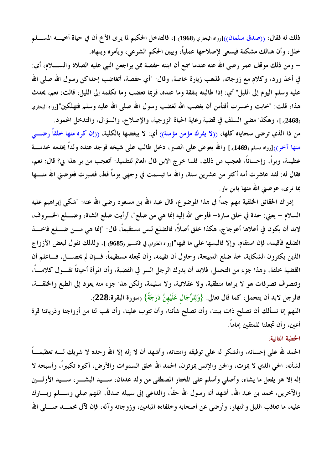ذلك له فقال: ((صدق سلمان))[رواه البخاري (1968).]، فالتدخل الحكيم لما يرى الأخ أن في حياة أخيــــه المســــلم خلل، وأن هنالك مشكلة فيسعى لإصلاحها عملياً، ويبين الحكم الشرعي، ويأمره وينهاه.

– ومن ذلك موقف عمر رضي الله عنه عندما سمع أن ابنته حفصة ممن يراجعن النبي عليه الصلاة والســــلام، أي: في أخذ ورد، وكلام مع زوجاته، فذهب زيارة خاصة، وقال: "أي حفصة، أتغاضب إحداكن رسول الله صلى الله عليه وسلم اليوم إلى الليل" أي: إذا طالبته بنفقة وما عنده، فربما تغضب وما تكلمه إلى الليل، قالت: نعم، يحدث هذا، قلت: "خابت وخسرت أفتأمن أن يغضب الله لغضب رسول الله صلى الله عليه وسلم فتهلكين"[رواه البخاري (2468).]، وهكذا مضى السلف في قضية رعاية الحياة الزوجية، والإصلاح، والسؤال، والتدخل المحمود.

من ذا الذي ترضى سجاياه كلها، ((لا يفرك مؤمن مؤمنة)) أي: لا يبغضها بالكلية، ((إن كره منها خلقاً رضـــى منها آخر))[رواه مسلم (1469).] والله يعوض على الصبر، دخل طالب على شيخه فوجد عنده ولداً يخدمه خدمـــة عظيمة، وبراً، وإحساناً، فعجب من ذلك، فلما خرج الابن قال العالم للتلميذ: أتعجب من بر هذا بي؟ قال: نعم، فقال له: لقد عاشرت أمه أكثر من عشرين سنة، والله ما تبسمت في وجهي يوماً قط، فصبرت فعوضني الله منــــها بما ترى، عوضنى الله منها بابن بار.

– إدراك الحقائق الخلقية مهم جداً في هذا الموضوع، قال عبد الله بن مسعود رضي الله عنه: "شكي إبراهيم عليه السلام – يعني: حدة في خلق سارة– فأوحى الله إليه إنما هي من ضلع"، أرأيت ضلع الشاة، وضــــلع الخــــروف، لابد أن يكون في أعلاها أعوجاج، هكذا خلق أصلاً، فالضلع ليس مستقيماً، قال: "إنما هي مـــن ضــــلع فاخــــذ الضلع فأقيمه، فإن استقام، وإلا فالبسها على ما فيها"[رواه الطبراني في الكسير (9685).]، ولذلك نقول لبعض الأزواج الذين يكثرون الشكاية، خذ ضلع الذبيحة، وحاول أن تقيمه، وأن تجعله مستقيماً، فــإن لم يحصـــل، فـــاعلم أن القضية خلقة، وهذا جزء من التحمل، فلابد أن يدرك الرجل السر في القضية، وأن المرأة أحياناً تقــول كلامـــاً، وتتصرف تصرفات هو لا يراها منطقية، ولا عقلانية، ولا سليمة، ولكن هذا جزء منه يعود إلى الطبع والخلقــة، فالرجل لابد أن يتحمل، كما قال تعالى: {وَلِلرِّجَالِ عَلَيْهِنَّ دَرَجَةٌ} (سورة البقرة:228).

اللهم إنا نسألك أن تصلح ذات بيننا، وأن تصلح شأننا، وأن تتوب علينا، وأن لهب لنا من أزواجنا وذرياتنا قرة أعينٍ، وأن تجعلنا للمتقين إماماً.

#### الخطبة الثانية:

الحمد لله على إحسانه، والشكر له على توفيقه وامتنانه، وأشهد أن لا إله إلا الله وحده لا شريك لـــه تعظيمـــاً لشأنه، الحي الذي لا يموت، والجن والإنس يموتون، الحمد الله خلق السموات والأرض، أكبره تكبيراً، وأسبحه لا إله إلا هو يفعل ما يشاء، وأصلى وأسلم على المختار المصطفى من ولد عدنان، ســيد البشـــر، ســيد الأولـــين والآخرين، محمد بن عبد الله، أشهد أنه رسول الله حقًّا، والداعي إلى سبيله صدقًا، اللهم صلى وســـلم وبـــارك عليه، ما تعاقب الليل والنهار، وأرضى عن أصحابه وخلفاءه الميامين، وزوجاته وآله، فإن لآل محمـــد صــــلى الله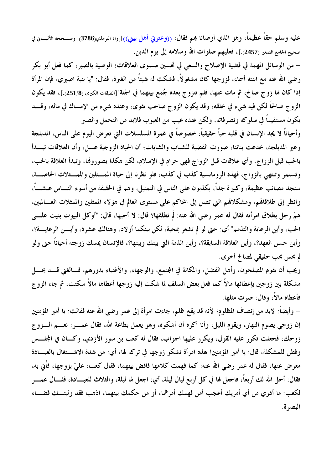عليه وسلم حقاً عظيماً، وهو الذي أوصانا بمم فقال: ((وعترتي أهل بيتي))[رواه الترمذي(3786). وصــححه الألبـــاني في صحيح الجامع الصغير (2457).]، فعليهم صلوات الله وسلامه إلى يوم الدين.

– من الوسائل المهمة في قضية الإصلاح والسعى في تحسين مستوى العلاقات؛ الوصية بالصبر، كما فعل أبو بكر رضي الله عنه مع ابنته أسماء، فزوجها كان مشغولاً، فشكت له شيئاً من الغيرة، فقال: "يا بنية اصبري، فإن المرأة إذا كان لها زوج صالح، ثم مات عنها، فلم تتزوج بعده جُمع بينهما في الجنة"[الطبقات الكبرى (251/8).]، فقد يكون الزوج صالحاً لكن فيه شيء في خلقه، وقد يكون الزوج صاحب تقوى، وعنده شيء من الإمساك في ماله، وقــــد يكون مستقيماً في سلوكه وتصرفاته، ولكن عنده عيب من العيوب فلابد من التحمل والصبر .

وأحياناً لا يجد الإنسان في قلبه حباً حقيقياً، خصوصاً في غمرة المسلسلات التي تعرض اليوم على الناس، المدبلجة وغير المدبلجة، خدعت بناتنا، صورت القضية للشباب والشابات؛ أن الحياة الزوجية عسل، وأن العلاقات تبــدأ بالحب قبل الزواج، وأي علاقات قبل الزواج فهي حرام في الإسلام، لكن هكذا يصوروفما، وتبدأ العلاقة بالحب، وتستمر وتنتهي بالزواج، فهذه الرومانسية كذب في كذب، فلو نظرنا إلى حياة الممسثلين والممسثلات الخاصسة، سنجد مصائب عظيمة، وكبيرة جداً، يكذبون على الناس في التمثيل، وهم في الحقيقة من أسوء النــــاس عيشــــاً، وانظر إلى طلاقاقم، ومشكلاقمم التي تصل إلى المحاكم على مستوى العالم في هؤلاء الممثلين والممثلات العـــالميين، همَّ رجل بطلاق امرأته فقال له عمر رضي الله عنه: لمَّ تطلقها؟ قال: لا أحبها، قال: "أوكل البيوت بنيت علـــي الحب، وأين الرعاية والتذمم" أي: حتى لو لم تشعر بمحبة، لكن بينكما أولاد، وهنالك عشرة، وأيـــن الرعايـــة؟، وأين حسن العهد؟، وأين العلاقة السابقة؟، وأين الذمة التي بينك وبينها؟، فالإنسان يمسك زوجته أحياناً حتى ولو لم يحس بحب حقيقي لمصالح أخرى.

ويجب أن يقوم المصلحون، وأهل الفضل، والمكانة في المجتمع، والوجهاء، والأغنياء بدورهم، فسالغني قسد يحسل مشكلة بين زوجين بإعطائها مالاً كما فعل بعض السلف لما شكت إليه زوجها أعطاها مالاً سكتت، ثم جاء الزوج فأعطاه مالاً، وقال: صرت مثلها.

– وأيضاً: لابد من إنصاف المظلوم؛ لأنه قد يقع ظلم، جاءت امرأة إلى عمر رضي الله عنه فقالت: يا أمير المؤمنين إن زوجي يصوم النهار، ويقوم الليل، وأنا أكره أن أشكوه، وهو يعمل بطاعة الله، فقال عمــــر: نعــــم الــــزوج زوجك، فجعلت تكرر عليه القول، ويكرر عليها الجواب، فقال له كعب بن سور الأزدي، وكـــان في المجلـــس وفطن للمشكلة، قال: يا أمير المؤمنين! هذه امرأة تشكو زوجها في تركه لها، أي: من شدة الاشـــتغال بالعبـــادة معرض عنها، فقال له عمر رضي الله عنه: كما فهمت كلامها فاقض بينهما، فقال كعب: عليّ بزوجها، فأُتى به، فقال: أحل الله لك أربعًا، فاجعل لها في كل أربع ليال ليلة، أي: اجعل لها ليلة، والثلاث للعبـــادة، فقـــال عمـــر لكعب: ما أدري من أي أمريك أعجب أمن فهمك أمرهما، أو من حكمك بينهما، اذهب فقد وليتــك قضـــاء البصه ة.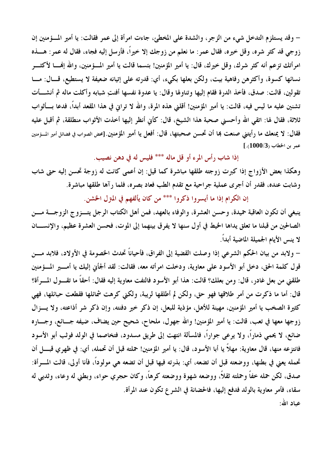– وقد يستلزم التدخل شيء من الزجر ، والشدة على المخطئ ، جاءت امرأة إلى عمر فقالت: يا أمير المسؤمنين إن زوجي قد كثر شره، وقل خيره، فقال عمر: ما نعلم من زوجك إلا خيراً، فأرسل إليه فجاء، فقال له عمر: هــــذه امرأتك تزعم أنه كثر شرك، وقل خيرك، قال: يا أمير المؤمنين! بئسما قالت يا أمير المسؤمنين، والله إفمـــا لأكثــــر نسائها كسوة، وأكثرهن رفاهية بيت، ولكن بعلها بكيء، أي: قدرته على إتيانه ضعيفة لا يستطيع، قـــال: مـــا تقولين، قالت: صدق، فأخذ الدرة فقام إليها وتناولها وقال: يا عدوة نفسها أفنتِ شبابه وأكلت ماله ثم أنشـــأت تشنين عليه ما ليس فيه، قالت: يا أمير المؤمنين! أقلني هذه المرة، والله لا ترانى في هذا المقعد أبداً، فدعا بـــأثواب ثلاثة، فقال له: اتقى الله وأحسني صحبة هذا الشيخ، قال: كأني أنظر إليها أخذت الأثواب منطلقة، ثم أقبل عليه فقال: لا يمنعك ما رأيتني صنعت بما أن تحسن صحبتها، قال: أفعل يا أمير المؤمنين.[محض الصواب في فضائل أمير المسؤمنين  $[.(1000/3)$ عمر بن الخطاب

إذا شاب رأس المرء أو قل ماله \*\*\* فليس له في دهن نصيب.

وهكذا بعض الأزواج إذا كبرت زوجته طلقها مباشرة كما قيل: إن أعمى كانت له زوجة تحسن إليه حتى شاب وشابت عنده، فقدر أن أجرى عملية جراحية مع تقدم الطب فعاد بصره، فلما رآها طلقها مباشرة.

إن الكرام إذا ما أيسروا ذكروا \*\*\* من كان يألفهم في المترل الخشن.

ينبغي أن تكون العاقبة حميدة، وحسن العشرة، والوفاء بالعهد، فمن أهل الكتاب الرجل يتــزوج الزوجـــة مـــن الصالحين من قبلنا ما تعلق يداها الخيط في أول سنها لا يفرق بينهما إلى الموت، فحسن العشرة عظيم، والإنســان لا ينس الأيام الجميلة الماضية أبداً.

– ولابد من بيان الحكم الشرعي إذا وصلت القضية إلى الفراق، فأحياناً تحدث الخصومة في الأولاد، فلابد مـــن قول كلمة الحق، دخل أبو الأسود على معاوية، ودخلت امرأته معه، فقالت: لقد ألجأني إليك يا أمــــير المـــؤمنين طلقني من بعل غادر، قال: ومن بعلك؟ قالت: هذا أبو الأسود فالتفت معاوية إليه فقال: أحقاً ما تقـــول المـــرأة؟ قال: أما ما ذكرت من أمر طلاقها فهو حق، ولكن لم أطلقها لريبة، ولكني كرهت شمائلها فقطعت حبائلها، فهي كثيرة الصخب يا أمير المؤمنين، مهينة للأهل، مؤذية للبعل، إن ذكر خير دفنته، وإن ذكر شر أذاعته، ولا يسزال زوجها معها في تعب، قالت: يا أمير المؤمنين! والله جهول، ملحاح، شحيح حين يضاف، ضيفه جـــائع، وجــــاره ضائع، لا يحمى ذماراً، ولا يرعى جواراً، فالمسألة انتهت إلى طريق مسدود، فتخاصما في الولد فوثب أبو الأسود فانتزعه منها، قال معاوية: مهلاً يا أبا الأسود، قال: يا أمير المؤمنين! حملته قبل أن تحمله، أي: في ظهري قبــــل أن تحمله يعني في بطنها، ووضعته قبل أن تضعه، أي: بذرته فيها قبل أن تضعه هي مولوداً، فأنا أولى، قالت المسرأة: صدق، لكن حمله خفاً وحملته ثقلاً، ووضعه شهوة ووضعته كرهاً، وكان حجري حواء، وبطني له وعاء، وثديي له سقاء، فأمر معاوية بالولد فدفع إليها، فالحضانة في الشرع تكون عند المرأة. عباد الله: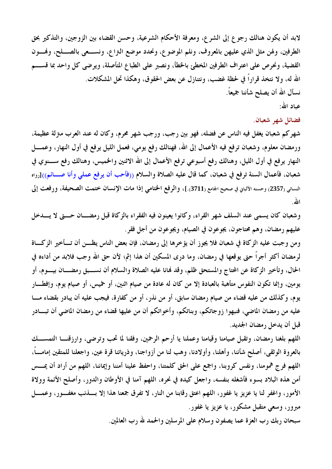لابد أن يكون هنالك رجوع إلى الشرع، ومعرفة الأحكام الشرعية، وحسن القضاء بين الزوجين، والتذكير بحق الطرفين، ولهن مثل الذي عليهن بالمعروف، ونلم الموضوع، ونحدد موضع النزاع، ونســـعي بالصــــلح، وفمـــون القضية، ونحرص على اعتراف الطرفين المخطئ بالخطأ، ونصبر على الطباع المتأصلة، ويرضى كل واحد بما قســـم الله له، ولا نتخذ قرارًا في لحظة غضب، ونتنازل عن بعض الحقوق، وهكذا تحل المشكلات. نسأل الله أن يصلح شأننا جميعاً. عباد الله:

فضائل شهر شعبان.

شهركم شعبان يغفل فيه الناس عن فضله، فهو بين رجب، ورجب شهر محرم، وكان له عند العرب مترلة عظيمة، ورمضان معلوم، وشعبان ترفع فيه الأعمال إلى الله، فهنالك رفع يومي، فعمل الليل يرفع في أول النهار، وعمــــل النهار يرفع في أول الليل، وهنالك رفع أسبوعي ترفع الأعمال إلى الله الاثنين والخميس، وهنالك رفع ســـنوي في شعبان، فأعمال السنة ترفع في شعبان، كما قال عليه الصلاة والسلام ((فأحب أن يرفع عملي وأنا صــائم))[رواه النسائي (2357) وحسنه الألباني في صحيح الجامع (3711).]، والرفع الختامي إذا مات الإنسان ختمت الصحيفة، ورفعت إلى الله.

وشعبان كان يسمى عند السلف شهر القراء، وكانوا يعينون فيه الفقراء بالزكاة قبل رمضــان حـــتى لا يـــدخل عليهم رمضان، وهم محتاجون، يجوعون في الصيام، ويجوعون من أجل فقر.

ومن وجبت عليه الزكاة في شعبان فلا يجوز أن يؤخرها إلى رمضان، فإن بعض الناس يظـــن أن تــــأخير الزكــــاة لرمضان أكثر أجراً حتى يوقعها في رمضان، وما درى المسكين أن هذا إثم؛ لأن حق الله وجب فلابد من أداءه في الحال، وتأخير الزكاة عن المحتاج والمستحق ظلم، وقد فمانا عليه الصلاة والسلام أن نســبق رمضـــان بيــوم، أو يومين، وإنما تكون النفوس متأهبة بالعبادة إلا من كان له عادة من صيام اثنين، أو حميس، أو صيام يوم، وإفطـــار يوم، وكذلك من عليه قضاء من صيام رمضان سابق، أو من نذر، أو من كفارة، فيجب عليه أن يبادر بقضاء مـــا عليه من رمضان الماضي، فنبهوا زوجاتكم، وبناتكم، وأخواتكم أن من عليها قضاء من رمضان الماضي أن تبـــادر قبل أن يدخل رمضان الجديد.

اللهم بلغنا رمضان، وتقبل صيامنا وقيامنا وعملنا يا أرحم الرحمين، وفقنا لما تحب وترضى، وارزقنــا التمســـك بالعروة الوثقي، أصلح شأننا، وأهلنا، وأولادنا، وهب لنا من أزواجنا، وذرياتنا قرة عين، واجعلنا للمتقين إمامـــاً، اللهم فرج همومنا، ونفس كروبنا، واجمع على الحق كلمتنا، واحفظ علينا أمننا وإيماننا، اللهم من أراد أن يمسس أمن هذه البلاد بسوء فأشغله بنفسه، واجعل كيده في نحره، اللهم آمنا في الأوطان والدور، وأصلح الأئمة وولاة الأمور، واغفر لنا يا عزيز يا غفور، اللهم اعتق رقابنا من النار، لا تفرق جمعنا هذا إلا بسذنب مغفـور، وعمـــل مبرور، وسعی متقبل مشکور، یا عزیز یا غفور.

سبحان ربك رب العزة عما يصفون وسلام على المرسلين والحمد لله رب العالمين.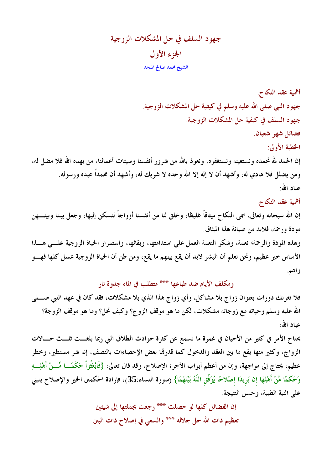# جهود السلف في حل المشكلات الزوجية الجزء الأول الشيخ محمد صالح المنجد

أهمية عقد النكاح. جهود النبي صلى الله عليه وسلم في كيفية حل المشكلات الزوجية. جهود السلف في كيفية حل المشكلات الزوجية. فضائل شهر شعبان. الخطبة الأولى: إن الحمد لله نحمده ونستعينه ونستغفره، ونعوذ بالله من شرور أنفسنا وسيئات أعمالنا، من يهده الله فلا مضل له، ومن يضلل فلا هادي له، وأشهد أن لا إله إلا الله وحده لا شريك له، وأشهد أن محمداً عبده ورسوله. عياد الله:

### أهمية عقد النكاح.

إن الله سبحانه وتعالى، سمَّى النكاح ميثاقاً غليظًا، وخلق لنا من أنفسنا أزواجاً لنسكن إليها، وجعل بيننا وبينـــهن مو دة ورحمة، فلابد من صيانة هذا الميثاق. وهذه المودة والرحمة؛ نعمة، وشكر النعمة العمل على استدامتها، وبقائها، واستمرار الحياة الزوجية علـــى هـــذا

الأساس خير عظيم، ونحن نعلم أن البشر لابد أن يقع بينهم ما يقع، ومن ظن أن الحياة الزوجية عسل كلها فهـــو واهم.

### ومكلف الأيام ضد طباعها \*\*\* متطلب في الماء جذوة نار

فلا تغرنك دورات بعنوان زواج بلا مشاكل، وأي زواج هذا الذي بلا مشكلات، فقد كان في عهد النبي صــــلمي الله عليه وسلم وحياته مع زوجاته مشكلات، لكن ما هو موقف الزوج؟ وكيف تحل؟ وما هو موقف الزوجة؟ عباد الله:

يحتاج الأمر في كثير من الأحيان في غمرة ما نسمع عن كثرة حوادث الطلاق التي ربما بلغـــت ثلـــث حـــالات الزواج، وكثير منها يقع ما بين العقد والدخول كما قدرها بعض الإحصاءات بالنصف، إنه شر مستطير، وخطر عظيم، يحتاج إلى مواجهة، وإن من أعظم أبواب الأجر؛ الإصلاح، وقد قال تعالى: {فَابْعَثُواْ حَكَمًــا مِّـــنْ أَهْلِـــهِ وَحَكَمًا مِّنْ أَهْلِهَا إن يُرِيدَا إصْلاَحًا يُوَفِّقِ اللَّهُ بَيْنَهُمَا} (سورة النساء:35)، فإرادة الحكمين الخير والإصلاح ينبنى على النية الطيبة، وحسن النتيجة.

> إن الفضائل كلها لو حصلت \*\*\* رجعت بجملتها إلى شيئين تعظيم ذات الله جل جلاله \*\*\* والسعى في إصلاح ذات البين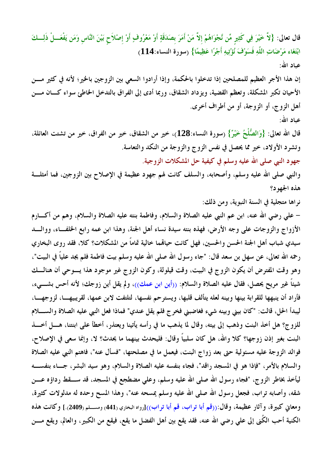قال تعالى: {لاَّ خَيْرَ فِي كَثِيرٍ مِّن نَّجْوَاهُمْ إلاَّ مَنْ أَمَرَ بصَدَقَةٍ أَوْ مَعْرُوفٍ أَوْ إصْلاَح بَيْنَ النَّاس وَمَن يَفْعَـــلْ ذَلِـــكَ ابْتَغَاء مَرْضَاتِ اللَّهِ فَسَوْفَ نُؤْتِيهِ أَجْرًا عَظِيمًا} (سورة النساء:114) عياد الله: إن هذا الأجر العظيم للمصلحين إذا تدخلوا بالحكمة، وإذا أرادوا السعى بين الزوجين بالخير؛ لأنه في كثير مـــن الأحيان تكبر المشكلة، وتعظم القضية، ويزداد الشقاق، وربما أدى إلى الفراق بالتدخل الخاطئ سواء كــان مـــن أهل الزوج، أو الزوجة، أو من أطراف أخرى. عياد الله: قال الله تعالى: {وَالصُّلْحُ خَيْرٌ} (سورة النساء:128)، خير من الشقاق، خير من الفراق، خير من تشتت العائلة، وتشرد الأولاد، خير مما يحصل في نفس الزوج والزوجة من النكد والتعاسة. جهود النبي صلى الله عليه وسلم في كيفية حل المشكلات الزوجية. والنبي صلى الله عليه وسلم، وأصحابه، والسلف كانت لهم جهود عظيمة في الإصلاح بين الزوجين، فما أمثلـــة

هذه الجهود؟

نراها متجلية في السنة النبوية، ومن ذلك:

– على رضي الله عنه، ابن عم النبي عليه الصلاة والسلام، وفاطمة بنته عليه الصلاة والسلام، وهم من أكــــارم الأزواج والزوجات على وجه الأرض، فهذه بنته سيدة نساء أهل الجنة، وهذا ابن عمه رابع الخلف!ء، ووالبد سيدي شباب أهل الجنة الحسن والحسين، فهل كانت حيالهما خالية تماماً من المشكلات؟ كلا، فقد روى البخاري رحمه الله تعالى، عن سهل بن سعد قال: "جاء رسول الله صلى الله عليه وسلم بيت فاطمة فلم يجد علياً في البيت"، وهو وقت المفترض أن يكون الزوج في البيت، وقت قيلولة، وكون الزوج غير موجود هذا يسوحي أن هنالسك شيئاً غير مريح يحصل، فقال عليه الصلاة والسلام: ((أين ابن عمك))، ولم يقل أين زوجك؛ لأنه أحس بشــــىء، فأراد أن ينبهها للقرابة بينها وبينه لعله يتألف قلبها، ويسترحم نفسها، لتلتفت لابن عمها، لقريبيهــا، لزوجهــا، ليبدأ الحل، قالت: "كان بيني وبينه شيء فغاضبني فخرج فلم يقل عندي" فماذا فعل النبي عليه الصلاة والسللام للزوج؟ هل أخذ البنت وذهب إلى بيته، وقال لما يذهب ما في رأسه يأتينا ويعتذر، أخطأ على ابنتنا، هــــل أخــــذ البنت بغير إذن زوجها؟ كلا والله، هل كان سلبياً وقال: فليحدث بينهما ما يحدث؟ لا، وإنما سعى في الإصلاح، فوالد الزوجة عليه مسئولية حتى بعد زواج البنت، فيعمل ما في مصلحتها، "فسأل عنه"، فاهتم النبي عليه الصلاة والسلام بالأمر، "فإذا هو في المسجد راقد"، فجاء بنفسه عليه الصلاة والسلام، وهو سيد البشر، جــاء بنفســـه ليأخذ بخاطر الزوج، "فجاء رسول الله صلى الله عليه وسلم، وعلى مضطجع في المسجد، قد ســـقط رداؤه عــــن شقه، وأصابه تراب، فجعل رسول الله صلى الله عليه وسلم يمسحه عنه"، وهذا المسح وحده له مدلولات كثيرة، ومعاني كبيرة، وآثار عظيمة، وقال:((قم أبا تراب، قم أبا تراب))[رواه البخاري (441) ومســلم(2409).] وكانت هذه الكنية أحب الكُنى إلى علي رضي الله عنه، فقد يقع بين أهل الفضل ما يقع، فيقع من الكبير، والعالم، ويقع مــــن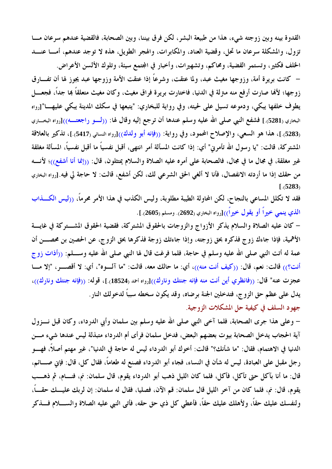القدوة بينه وبين زوجته شيء، هذا من طبيعة البشر، لكن فرق بيننا، وبين الصحابة، فالقضية عندهم سرعان مـــا تزول، والمشكلة سرعان ما تحل، وقضية العناد، والمكابرات، والهجر الطويل، هذه لا توجد عندهم، أمـــا عنـــد الخلف فكثير، وتستمر القضية، ومحاكم، وتشهيرات، وأخبار في المجتمع سيئة، وتلوك الألسن الأعراض.

– كانت بريرة أمة، وزوجها مغيث عبد، ولما عتقت، وشرعًا إذا عتقت الأمة وزوجها عبد يجوز لها أن تفـــارق زوجها؛ لألها صارت أرفع منه مترلة في الدنيا، فاختارت بريرة فراق مغيث، وكان مغيث متعلقاً بما جداً، فجعـــل يطوف خلفها يبكي، ودموعه تسيل على لحيته، وفي رواية للبخاري: "يتبعها في سكك المدينة يبكي عليهـــا"[رواه البخاري (5281).] فشفع النبي صلى الله عليه وسلم عندها أن ترجع إليه وقال لها: ((لـــو راجعتـــه))[رواه البخـــاري (5283).]، هذا هو السعي، والإصلاح المحمود، وفي رواية: ((فإنه أبو ولدك))[رواه النسائي (5417).]، تذكير بالعلاقة المشتركة، قالت: "يا رسول الله تأمرني" أي: إذا كانت المسألة أمر انتهى، أقبل نفسياً ما أقبل نفسياً، المسألة مغلقة غير مغلقة، في مجال ما في مجال، فالصحابة على أمره عليه الصلاة والسلام يمتثلون، قال: ((إنما أنا أشفع))؛ لأنسه من حقك إذا ما أردته الانفصال، فأنا لا ألغي الحق الشرعي لك، لكن أشفع، قالت: لا حاجة لي فيه.[رواه البخاري  $1.5283$ 

فقد لا تكلل المساعى بالنجاح، لكن المحاولة الطيبة مطلوبة، وليس الكذب في هذا الأمر محرماً، ((ليس الكـــذاب الذي ينمي خيراً أو يقول خيراً))[رواه البخاري (2692). ومسلم (2605).].

– كان عليه الصلاة والسلام يذكر الأزواج والزوجات بالحقوق المشتركة، فقضية الحقوق المشـــتركة في غايـــة الأهمية، فإذا جاءك زوج فذكره بحق زوجته، وإذا جاءتك زوجة فذكرها بحق الزوج، عن الحصين بن محصـــن أن عمة له أتت النبي صلى الله عليه وسلم في حاجة، فلما فرغت قال لها النبي صلى الله عليه وســــلم: ((أذات زو ج أنت؟)) قالت: نعم، قال: ((كيف أنت منه))، أي: ما حالك معه، قالت: "ما آلسوه"، أي: لا أقصــــر، "إلا مــــا عجزت عنه" قال: ((فانظري أين أنت منه فإنه جنتك ونارك))[رواه احمد (18524).]، قوله: ((فإنه جنتك ونارك))، يدل على عظم حق الزوج، فتدخلين الجنة برضاه، وقد يكون سخطه سبباً لدخولك النار. جهود السلف في كيفية حل المشكلات الزوجية.

– وعلى هذا جرى الصحابة، فلما آخى النبي صلى الله عليه وسلم بين سلمان وأبي الدرداء، وكان قبل نـــزول آية الحجاب يدخل الصحابة بيوت بعضهم البعض، فدخل سلمان فرأى أم الدرداء متبذلة ليس عندها شيء مسن الدنيا في الاهتمام، فقال: "ما شأنك؟" قالت: أخوك أبو الدرداء ليس له حاجة في الدنيا"، غير مهتم أصلاً، فهـــو رجل مقبل على العبادة، ليس له شأن في النساء، فجاء أبو الدرداء فصنع له طعاماً، فقال كل، قال: فإني صــــائم، قال: ما أنا بآكل حتى تأكل، فأكل، فلما كان الليل ذهب أبو الدرداء يقوم، قال سلمان: نم، فنسام، ثم ذهسب يقوم، قال: نم، فلما كان من آخر الليل قال سلمان: قم الآن، فصليا، فقال له سلمان: إن لربك عليـــك حقــــاً، ولنفسك عليك حقاً، ولأهلك عليك حقاً، فأعطى كل ذي حق حقه، فأتى النبي عليه الصلاة والســــلام فــــذكر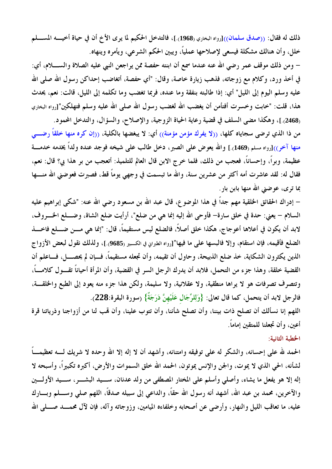ذلك له فقال: ((صدق سلمان))[رواه البخاري (1968).]، فالتدخل الحكيم لما يرى الأخ أن في حياة أخيــــه المســــلم خلل، وأن هنالك مشكلة فيسعى لإصلاحها عملياً، ويبين الحكم الشرعي، ويأمره وينهاه.

– ومن ذلك موقف عمر رضي الله عنه عندما سمع أن ابنته حفصة ممن يراجعن النبي عليه الصلاة والســــلام، أي: في أخذ ورد، وكلام مع زوجاته، فذهب زيارة خاصة، وقال: "أي حفصة، أتغاضب إحداكن رسول الله صلى الله عليه وسلم اليوم إلى الليل" أي: إذا طالبته بنفقة وما عنده، فربما تغضب وما تكلمه إلى الليل، قالت: نعم، يحدث هذا، قلت: "خابت وخسرت أفتأمن أن يغضب الله لغضب رسول الله صلى الله عليه وسلم فتهلكين"[رواه البخاري (2468).]، وهكذا مضى السلف في قضية رعاية الحياة الزوجية، والإصلاح، والسؤال، والتدخل المحمود.

من ذا الذي ترضى سجاياه كلها، ((لا يفرك مؤمن مؤمنة)) أي: لا يبغضها بالكلية، ((إن كره منها خلقاً رضـــى منها آخر))[رواه مسلم (1469).] والله يعوض على الصبر، دخل طالب على شيخه فوجد عنده ولداً يخدمه خدمـــة عظيمة، وبراً، وإحساناً، فعجب من ذلك، فلما خرج الابن قال العالم للتلميذ: أتعجب من بر هذا بي؟ قال: نعم، فقال له: لقد عاشرت أمه أكثر من عشرين سنة، والله ما تبسمت في وجهي يوماً قط، فصبرت فعوضني الله منــــها بما ترى، عوضنى الله منها بابن بار.

– إدراك الحقائق الخلقية مهم جداً في هذا الموضوع، قال عبد الله بن مسعود رضي الله عنه: "شكي إبراهيم عليه السلام – يعني: حدة في خلق سارة– فأوحى الله إليه إنما هي من ضلع"، أرأيت ضلع الشاة، وضــــلع الخــــروف، لابد أن يكون في أعلاها أعوجاج، هكذا خلق أصلاً، فالضلع ليس مستقيماً، قال: "إنما هي مـــن ضــــلع فاخــــذ الضلع فأقيمه، فإن استقام، وإلا فالبسها على ما فيها"[رواه الطبراني في الكسير (9685).]، ولذلك نقول لبعض الأزواج الذين يكثرون الشكاية، خذ ضلع الذبيحة، وحاول أن تقيمه، وأن تجعله مستقيماً، فـــإن لم يحصــــل، فـــاعلم أن القضية خلقة، وهذا جزء من التحمل، فلابد أن يدرك الرجل السر في القضية، وأن المرأة أحياناً تقــول كلامـــاً، وتتصرف تصرفات هو لا يراها منطقية، ولا عقلانية، ولا سليمة، ولكن هذا جزء منه يعود إلى الطبع والخلقــة، فالرجل لابد أن يتحمل، كما قال تعالى: {وَلِلرِّجَالِ عَلَيْهِنَّ دَرَجَةٌ} (سورة البقرة:228).

اللهم إنا نسألك أن تصلح ذات بيننا، وأن تصلح شأننا، وأن تتوب علينا، وأن لهب لنا من أزواجنا وذرياتنا قرة أعينٍ، وأن تجعلنا للمتقين إماماً.

#### الخطبة الثانية:

الحمد لله على إحسانه، والشكر له على توفيقه وامتنانه، وأشهد أن لا إله إلا الله وحده لا شريك لـــه تعظيمـــاً لشأنه، الحي الذي لا يموت، والجن والإنس يموتون، الحمد الله خلق السموات والأرض، أكبره تكبيراً، وأسبحه لا إله إلا هو يفعل ما يشاء، وأصلى وأسلم على المختار المصطفى من ولد عدنان، ســيد البشـــر، ســيد الأولـــين والآخرين، محمد بن عبد الله، أشهد أنه رسول الله حقًّا، والداعي إلى سبيله صدقًا، اللهم صلى وســـلم وبـــارك عليه، ما تعاقب الليل والنهار، وأرضى عن أصحابه وخلفاءه الميامين، وزوجاته وآله، فإن لآل محمـــد صــــلى الله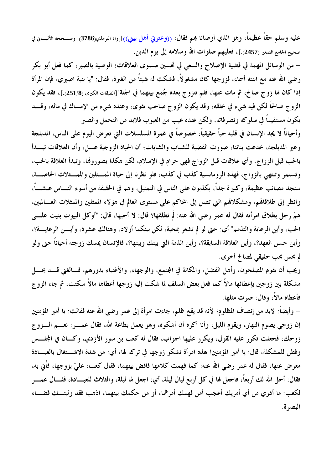عليه وسلم حقاً عظيماً، وهو الذي أوصانا بمم فقال: ((وعترتي أهل بيتي))[رواه الترمذي(3786). وصــححه الألبـــاني في صحيح الجامع الصغير (2457).]، فعليهم صلوات الله وسلامه إلى يوم الدين.

– من الوسائل المهمة في قضية الإصلاح والسعى في تحسين مستوى العلاقات؛ الوصية بالصبر، كما فعل أبو بكر رضي الله عنه مع ابنته أسماء، فزوجها كان مشغولاً، فشكت له شيئاً من الغيرة، فقال: "يا بنية اصبري، فإن المرأة إذا كان لها زوج صالح، ثم مات عنها، فلم تتزوج بعده جُمع بينهما في الجنة"[الطبقات الكبرى (251/8).]، فقد يكون الزوج صالحاً لكن فيه شيء في خلقه، وقد يكون الزوج صاحب تقوى، وعنده شيء من الإمساك في ماله، وقــــد يكون مستقيماً في سلوكه وتصرفاته، ولكن عنده عيب من العيوب فلابد من التحمل والصبر .

وأحياناً لا يجد الإنسان في قلبه حباً حقيقياً، خصوصاً في غمرة المسلسلات التي تعرض اليوم على الناس، المدبلجة وغير المدبلجة، خدعت بناتنا، صورت القضية للشباب والشابات؛ أن الحياة الزوجية عسل، وأن العلاقات تبــدأ بالحب قبل الزواج، وأي علاقات قبل الزواج فهي حرام في الإسلام، لكن هكذا يصوروفما، وتبدأ العلاقة بالحب، وتستمر وتنتهي بالزواج، فهذه الرومانسية كذب في كذب، فلو نظرنا إلى حياة الممسثلين والممسثلات الخاصسة، سنجد مصائب عظيمة، وكبيرة جداً، يكذبون على الناس في التمثيل، وهم في الحقيقة من أسوء النــــاس عيشــــاً، وانظر إلى طلاقاقم، ومشكلاقمم التي تصل إلى المحاكم على مستوى العالم في هؤلاء الممثلين والممثلات العـــالميين، همَّ رجل بطلاق امرأته فقال له عمر رضي الله عنه: لمَّ تطلقها؟ قال: لا أحبها، قال: "أوكل البيوت بنيت علـــي الحب، وأين الرعاية والتذمم" أي: حتى لو لم تشعر بمحبة، لكن بينكما أولاد، وهنالك عشرة، وأيـــن الرعايـــة؟، وأين حسن العهد؟، وأين العلاقة السابقة؟، وأين الذمة التي بينك وبينها؟، فالإنسان يمسك زوجته أحياناً حتى ولو لم يحس بحب حقيقي لمصالح أخرى.

ويجب أن يقوم المصلحون، وأهل الفضل، والمكانة في المجتمع، والوجهاء، والأغنياء بدورهم، فسالغني قسد يحسل مشكلة بين زوجين بإعطائها مالاً كما فعل بعض السلف لما شكت إليه زوجها أعطاها مالاً سكتت، ثم جاء الزوج فأعطاه مالاً، وقال: صرت مثلها.

– وأيضاً: لابد من إنصاف المظلوم؛ لأنه قد يقع ظلم، جاءت امرأة إلى عمر رضي الله عنه فقالت: يا أمير المؤمنين إن زوجي يصوم النهار، ويقوم الليل، وأنا أكره أن أشكوه، وهو يعمل بطاعة الله، فقال عمــــر: نعــــم الــــزوج زوجك، فجعلت تكرر عليه القول، ويكرر عليها الجواب، فقال له كعب بن سور الأزدي، وكـــان في المجلـــس وفطن للمشكلة، قال: يا أمير المؤمنين! هذه امرأة تشكو زوجها في تركه لها، أي: من شدة الاشـــتغال بالعبـــادة معرض عنها، فقال له عمر رضي الله عنه: كما فهمت كلامها فاقض بينهما، فقال كعب: عليّ بزوجها، فأُتى به، فقال: أحل الله لك أربعًا، فاجعل لها في كل أربع ليال ليلة، أي: اجعل لها ليلة، والثلاث للعبـــادة، فقـــال عمـــر لكعب: ما أدري من أي أمريك أعجب أمن فهمك أمرهما، أو من حكمك بينهما، اذهب فقد وليتــك قضـــاء البصه ة.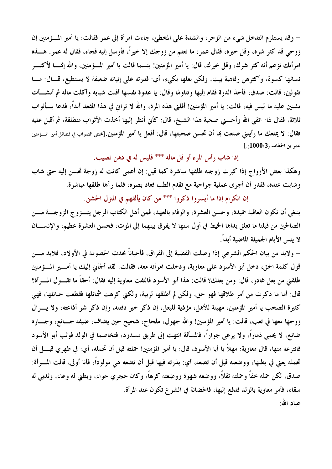– وقد يستلزم التدخل شيء من الزجر ، والشدة على المخطئ جاءت امرأة إلى عمر فقالت: يا أمير المسؤمنين إن زوجي قد كثر شره، وقل خيره، فقال عمر: ما نعلم من زوجك إلا خيراً، فأرسل إليه فجاء، فقال له عمر: هــــذه امرأتك تزعم أنه كثر شرك، وقل خيرك، قال: يا أمير المؤمنين! بئسما قالت يا أمير المسؤمنين، والله إفمــا لأكثـــر نسائها كسوة، وأكثرهن رفاهية بيت، ولكن بعلها بكيء، أي: قدرته على إتيانه ضعيفة لا يستطيع، قـــال: مـــا تقولين، قالت: صدق، فأخذ الدرة فقام إليها وتناولها وقال: يا عدوة نفسها أفنتِ شبابه وأكلت ماله ثم أنشـــأت تشنين عليه ما ليس فيه، قالت: يا أمير المؤمنين! أقلني هذه المرة، والله لا ترانى في هذا المقعد أبداً، فدعا بـــأثواب ثلاثة، فقال له: اتقى الله وأحسني صحبة هذا الشيخ، قال: كأني أنظر إليها أخذت الأثواب منطلقة، ثم أقبل عليه فقال: لا يمنعك ما رأيتني صنعت بما أن تحسن صحبتها، قال: أفعل يا أمير المؤمنين.[محض الصواب في فضائل أمير المسؤمنين  $[.(1000/3)$ عمر بن الخطاب

إذا شاب رأس المرء أو قل ماله \*\*\* فليس له في دهن نصيب.

وهكذا بعض الأزواج إذا كبرت زوجته طلقها مباشرة كما قيل: إن أعمى كانت له زوجة تحسن إليه حتى شاب وشابت عنده، فقدر أن أجرى عملية جراحية مع تقدم الطب فعاد بصره، فلما رآها طلقها مباشرة.

إن الكرام إذا ما أيسروا ذكروا \*\*\* من كان يألفهم في المترل الخشن.

ينبغي أن تكون العاقبة حميدة، وحسن العشرة، والوفاء بالعهد، فمن أهل الكتاب الرجل يتــزوج الزوجـــة مـــن الصالحين من قبلنا ما تعلق يداها الخيط في أول سنها لا يفرق بينهما إلى الموت، فحسن العشرة عظيم، والإنســان لا ينس الأيام الجميلة الماضية أبداً.

– ولابد من بيان الحكم الشرعي إذا وصلت القضية إلى الفراق، فأحياناً تحدث الخصومة في الأولاد، فلابد مـــن قول كلمة الحق، دخل أبو الأسود على معاوية، ودخلت امرأته معه، فقالت: لقد ألجأني إليك يا أمــــير المـــؤمنين طلقني من بعل غادر، قال: ومن بعلك؟ قالت: هذا أبو الأسود فالتفت معاوية إليه فقال: أحقاً ما تقـــول المـــرأة؟ قال: أما ما ذكرت من أمر طلاقها فهو حق، ولكن لم أطلقها لريبة، ولكني كرهت شمائلها فقطعت حبائلها، فهي كثيرة الصخب يا أمير المؤمنين، مهينة للأهل، مؤذية للبعل، إن ذكر خير دفنته، وإن ذكر شر أذاعته، ولا يسزال زوجها معها في تعب، قالت: يا أمير المؤمنين! والله جهول، ملحاح، شحيح حين يضاف، ضيفه جـــائع، وجــــاره ضائع، لا يحمى ذماراً، ولا يرعى جواراً، فالمسألة انتهت إلى طريق مسدود، فتخاصما في الولد فوثب أبو الأسود فانتزعه منها، قال معاوية: مهلاً يا أبا الأسود، قال: يا أمير المؤمنين! حملته قبل أن تحمله، أي: في ظهري قبــــل أن تحمله يعني في بطنها، ووضعته قبل أن تضعه، أي: بذرته فيها قبل أن تضعه هي مولوداً، فأنا أولى، قالت المسرأة: صدق، لكن حمله خفاً وحملته ثقلاً، ووضعه شهوة ووضعته كرهاً، وكان حجري حواء، وبطني له وعاء، وثديي له سقاء، فأمر معاوية بالولد فدفع إليها، فالحضانة في الشرع تكون عند المرأة. عباد الله: